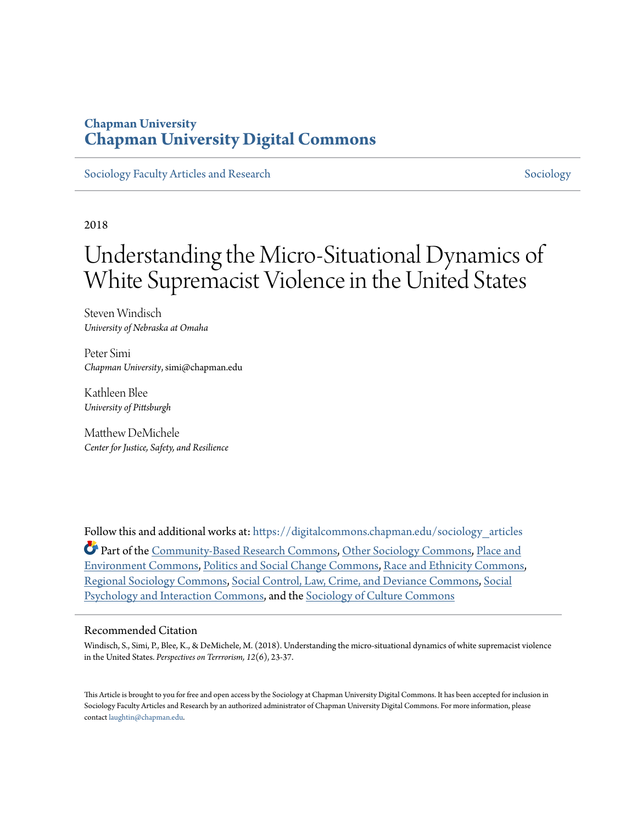### **Chapman University [Chapman University Digital Commons](https://digitalcommons.chapman.edu?utm_source=digitalcommons.chapman.edu%2Fsociology_articles%2F52&utm_medium=PDF&utm_campaign=PDFCoverPages)**

[Sociology Faculty Articles and Research](https://digitalcommons.chapman.edu/sociology_articles?utm_source=digitalcommons.chapman.edu%2Fsociology_articles%2F52&utm_medium=PDF&utm_campaign=PDFCoverPages) [Sociology](https://digitalcommons.chapman.edu/sociology?utm_source=digitalcommons.chapman.edu%2Fsociology_articles%2F52&utm_medium=PDF&utm_campaign=PDFCoverPages) Sociology

2018

# Understanding the Micro-Situational Dynamics of White Supremacist Violence in the United States

Steven Windisch *University of Nebraska at Omaha*

Peter Simi *Chapman University*, simi@chapman.edu

Kathleen Blee *University of Pittsburgh*

Matthew DeMichele *Center for Justice, Safety, and Resilience*

Follow this and additional works at: [https://digitalcommons.chapman.edu/sociology\\_articles](https://digitalcommons.chapman.edu/sociology_articles?utm_source=digitalcommons.chapman.edu%2Fsociology_articles%2F52&utm_medium=PDF&utm_campaign=PDFCoverPages) Part of the [Community-Based Research Commons](http://network.bepress.com/hgg/discipline/1047?utm_source=digitalcommons.chapman.edu%2Fsociology_articles%2F52&utm_medium=PDF&utm_campaign=PDFCoverPages), [Other Sociology Commons](http://network.bepress.com/hgg/discipline/434?utm_source=digitalcommons.chapman.edu%2Fsociology_articles%2F52&utm_medium=PDF&utm_campaign=PDFCoverPages), [Place and](http://network.bepress.com/hgg/discipline/424?utm_source=digitalcommons.chapman.edu%2Fsociology_articles%2F52&utm_medium=PDF&utm_campaign=PDFCoverPages) [Environment Commons,](http://network.bepress.com/hgg/discipline/424?utm_source=digitalcommons.chapman.edu%2Fsociology_articles%2F52&utm_medium=PDF&utm_campaign=PDFCoverPages) [Politics and Social Change Commons](http://network.bepress.com/hgg/discipline/425?utm_source=digitalcommons.chapman.edu%2Fsociology_articles%2F52&utm_medium=PDF&utm_campaign=PDFCoverPages), [Race and Ethnicity Commons](http://network.bepress.com/hgg/discipline/426?utm_source=digitalcommons.chapman.edu%2Fsociology_articles%2F52&utm_medium=PDF&utm_campaign=PDFCoverPages), [Regional Sociology Commons](http://network.bepress.com/hgg/discipline/427?utm_source=digitalcommons.chapman.edu%2Fsociology_articles%2F52&utm_medium=PDF&utm_campaign=PDFCoverPages), [Social Control, Law, Crime, and Deviance Commons](http://network.bepress.com/hgg/discipline/429?utm_source=digitalcommons.chapman.edu%2Fsociology_articles%2F52&utm_medium=PDF&utm_campaign=PDFCoverPages), [Social](http://network.bepress.com/hgg/discipline/430?utm_source=digitalcommons.chapman.edu%2Fsociology_articles%2F52&utm_medium=PDF&utm_campaign=PDFCoverPages) [Psychology and Interaction Commons,](http://network.bepress.com/hgg/discipline/430?utm_source=digitalcommons.chapman.edu%2Fsociology_articles%2F52&utm_medium=PDF&utm_campaign=PDFCoverPages) and the [Sociology of Culture Commons](http://network.bepress.com/hgg/discipline/431?utm_source=digitalcommons.chapman.edu%2Fsociology_articles%2F52&utm_medium=PDF&utm_campaign=PDFCoverPages)

#### Recommended Citation

Windisch, S., Simi, P., Blee, K., & DeMichele, M. (2018). Understanding the micro-situational dynamics of white supremacist violence in the United States. *Perspectives on Terrrorism, 12*(6), 23-37.

This Article is brought to you for free and open access by the Sociology at Chapman University Digital Commons. It has been accepted for inclusion in Sociology Faculty Articles and Research by an authorized administrator of Chapman University Digital Commons. For more information, please contact [laughtin@chapman.edu](mailto:laughtin@chapman.edu).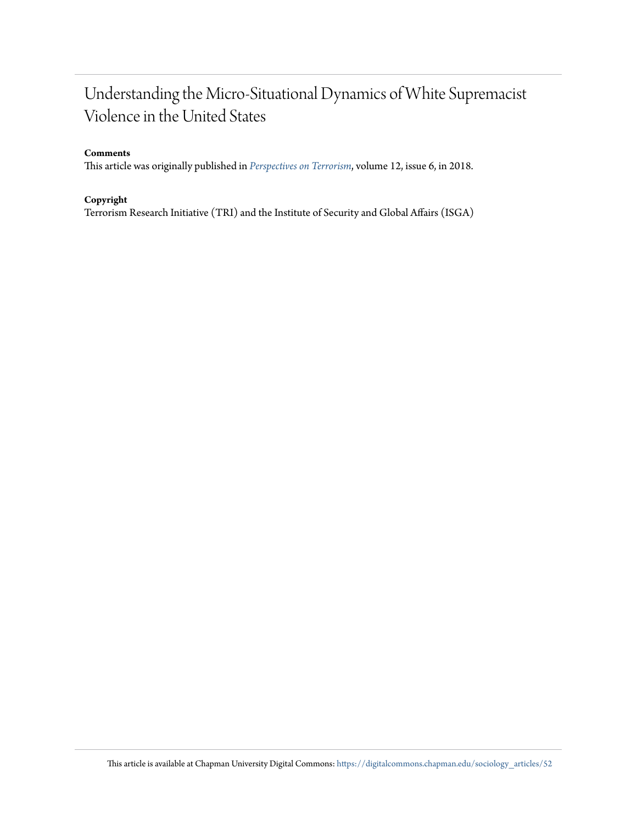### Understanding the Micro-Situational Dynamics of White Supremacist Violence in the United States

#### **Comments**

This article was originally published in *[Perspectives on Terrorism](https://www.universiteitleiden.nl/binaries/content/assets/customsites/perspectives-on-terrorism/2018/issue-6/a2-windisch-et-al.pdf)*, volume 12, issue 6, in 2018.

#### **Copyright**

Terrorism Research Initiative (TRI) and the Institute of Security and Global Affairs (ISGA)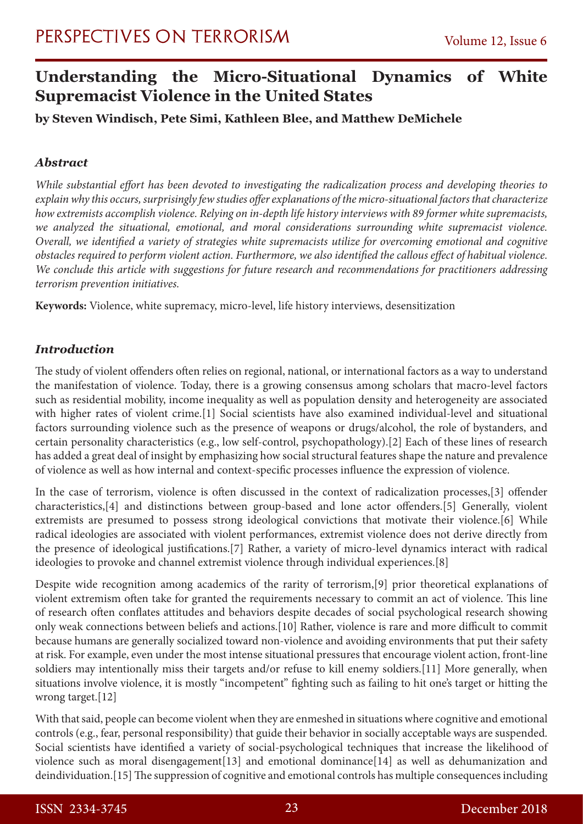### **Understanding the Micro-Situational Dynamics of White Supremacist Violence in the United States**

### **by Steven Windisch, Pete Simi, Kathleen Blee, and Matthew DeMichele**

### *Abstract*

*While substantial effort has been devoted to investigating the radicalization process and developing theories to explain why this occurs, surprisingly few studies offer explanations of the micro-situational factors that characterize how extremists accomplish violence. Relying on in-depth life history interviews with 89 former white supremacists, we analyzed the situational, emotional, and moral considerations surrounding white supremacist violence. Overall, we identified a variety of strategies white supremacists utilize for overcoming emotional and cognitive obstacles required to perform violent action. Furthermore, we also identified the callous effect of habitual violence. We conclude this article with suggestions for future research and recommendations for practitioners addressing terrorism prevention initiatives.*

**Keywords:** Violence, white supremacy, micro-level, life history interviews, desensitization

### *Introduction*

The study of violent offenders often relies on regional, national, or international factors as a way to understand the manifestation of violence. Today, there is a growing consensus among scholars that macro-level factors such as residential mobility, income inequality as well as population density and heterogeneity are associated with higher rates of violent crime.[1] Social scientists have also examined individual-level and situational factors surrounding violence such as the presence of weapons or drugs/alcohol, the role of bystanders, and certain personality characteristics (e.g., low self-control, psychopathology).[2] Each of these lines of research has added a great deal of insight by emphasizing how social structural features shape the nature and prevalence of violence as well as how internal and context-specific processes influence the expression of violence.

In the case of terrorism, violence is often discussed in the context of radicalization processes,[3] offender characteristics,[4] and distinctions between group-based and lone actor offenders.[5] Generally, violent extremists are presumed to possess strong ideological convictions that motivate their violence.[6] While radical ideologies are associated with violent performances, extremist violence does not derive directly from the presence of ideological justifications.[7] Rather, a variety of micro-level dynamics interact with radical ideologies to provoke and channel extremist violence through individual experiences.[8]

Despite wide recognition among academics of the rarity of terrorism,[9] prior theoretical explanations of violent extremism often take for granted the requirements necessary to commit an act of violence. This line of research often conflates attitudes and behaviors despite decades of social psychological research showing only weak connections between beliefs and actions.[10] Rather, violence is rare and more difficult to commit because humans are generally socialized toward non-violence and avoiding environments that put their safety at risk. For example, even under the most intense situational pressures that encourage violent action, front-line soldiers may intentionally miss their targets and/or refuse to kill enemy soldiers.[11] More generally, when situations involve violence, it is mostly "incompetent" fighting such as failing to hit one's target or hitting the wrong target.[12]

With that said, people can become violent when they are enmeshed in situations where cognitive and emotional controls (e.g., fear, personal responsibility) that guide their behavior in socially acceptable ways are suspended. Social scientists have identified a variety of social-psychological techniques that increase the likelihood of violence such as moral disengagement[13] and emotional dominance[14] as well as dehumanization and deindividuation.[15] The suppression of cognitive and emotional controls has multiple consequences including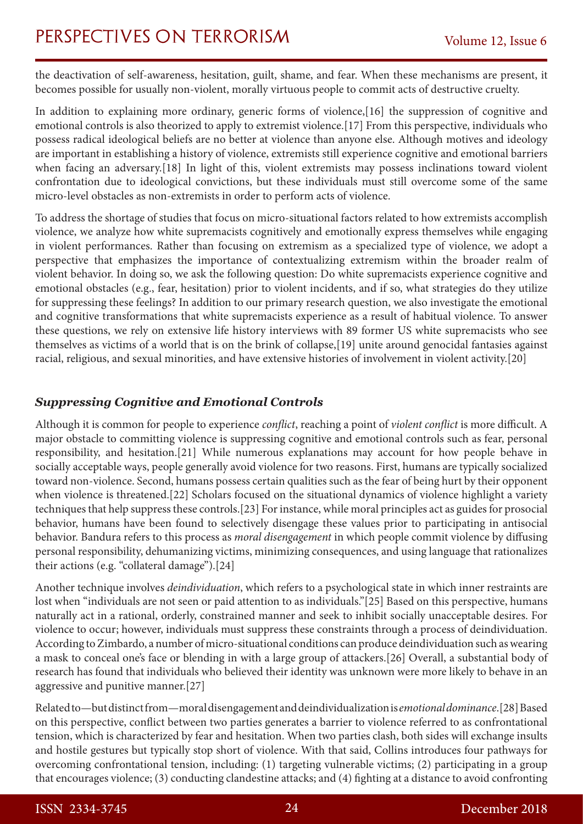the deactivation of self-awareness, hesitation, guilt, shame, and fear. When these mechanisms are present, it becomes possible for usually non-violent, morally virtuous people to commit acts of destructive cruelty.

In addition to explaining more ordinary, generic forms of violence,[16] the suppression of cognitive and emotional controls is also theorized to apply to extremist violence.[17] From this perspective, individuals who possess radical ideological beliefs are no better at violence than anyone else. Although motives and ideology are important in establishing a history of violence, extremists still experience cognitive and emotional barriers when facing an adversary.[18] In light of this, violent extremists may possess inclinations toward violent confrontation due to ideological convictions, but these individuals must still overcome some of the same micro-level obstacles as non-extremists in order to perform acts of violence.

To address the shortage of studies that focus on micro-situational factors related to how extremists accomplish violence, we analyze how white supremacists cognitively and emotionally express themselves while engaging in violent performances. Rather than focusing on extremism as a specialized type of violence, we adopt a perspective that emphasizes the importance of contextualizing extremism within the broader realm of violent behavior. In doing so, we ask the following question: Do white supremacists experience cognitive and emotional obstacles (e.g., fear, hesitation) prior to violent incidents, and if so, what strategies do they utilize for suppressing these feelings? In addition to our primary research question, we also investigate the emotional and cognitive transformations that white supremacists experience as a result of habitual violence. To answer these questions, we rely on extensive life history interviews with 89 former US white supremacists who see themselves as victims of a world that is on the brink of collapse,[19] unite around genocidal fantasies against racial, religious, and sexual minorities, and have extensive histories of involvement in violent activity.[20]

### *Suppressing Cognitive and Emotional Controls*

Although it is common for people to experience *conflict*, reaching a point of *violent conflict* is more difficult. A major obstacle to committing violence is suppressing cognitive and emotional controls such as fear, personal responsibility, and hesitation.[21] While numerous explanations may account for how people behave in socially acceptable ways, people generally avoid violence for two reasons. First, humans are typically socialized toward non-violence. Second, humans possess certain qualities such as the fear of being hurt by their opponent when violence is threatened.[22] Scholars focused on the situational dynamics of violence highlight a variety techniques that help suppress these controls.[23] For instance, while moral principles act as guides for prosocial behavior, humans have been found to selectively disengage these values prior to participating in antisocial behavior. Bandura refers to this process as *moral disengagement* in which people commit violence by diffusing personal responsibility, dehumanizing victims, minimizing consequences, and using language that rationalizes their actions (e.g. "collateral damage").[24]

Another technique involves *deindividuation*, which refers to a psychological state in which inner restraints are lost when "individuals are not seen or paid attention to as individuals."[25] Based on this perspective, humans naturally act in a rational, orderly, constrained manner and seek to inhibit socially unacceptable desires. For violence to occur; however, individuals must suppress these constraints through a process of deindividuation. According to Zimbardo, a number of micro-situational conditions can produce deindividuation such as wearing a mask to conceal one's face or blending in with a large group of attackers.[26] Overall, a substantial body of research has found that individuals who believed their identity was unknown were more likely to behave in an aggressive and punitive manner.[27]

Related to—but distinct from—moral disengagement and deindividualization is *emotional dominance*.[28] Based on this perspective, conflict between two parties generates a barrier to violence referred to as confrontational tension, which is characterized by fear and hesitation. When two parties clash, both sides will exchange insults and hostile gestures but typically stop short of violence. With that said, Collins introduces four pathways for overcoming confrontational tension, including: (1) targeting vulnerable victims; (2) participating in a group that encourages violence; (3) conducting clandestine attacks; and (4) fighting at a distance to avoid confronting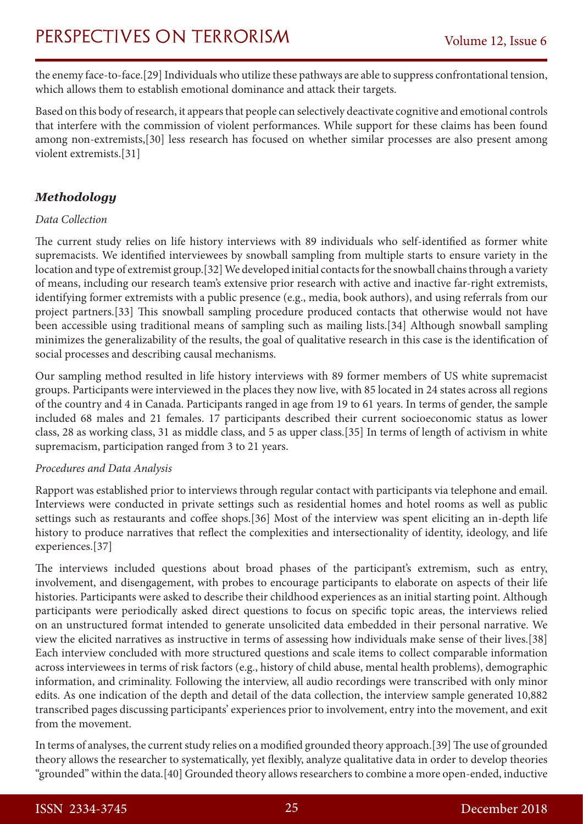the enemy face-to-face.[29] Individuals who utilize these pathways are able to suppress confrontational tension, which allows them to establish emotional dominance and attack their targets.

Based on this body of research, it appears that people can selectively deactivate cognitive and emotional controls that interfere with the commission of violent performances. While support for these claims has been found among non-extremists,[30] less research has focused on whether similar processes are also present among violent extremists.[31]

### *Methodology*

#### *Data Collection*

The current study relies on life history interviews with 89 individuals who self-identified as former white supremacists. We identified interviewees by snowball sampling from multiple starts to ensure variety in the location and type of extremist group.[32] We developed initial contacts for the snowball chains through a variety of means, including our research team's extensive prior research with active and inactive far-right extremists, identifying former extremists with a public presence (e.g., media, book authors), and using referrals from our project partners.[33] This snowball sampling procedure produced contacts that otherwise would not have been accessible using traditional means of sampling such as mailing lists.[34] Although snowball sampling minimizes the generalizability of the results, the goal of qualitative research in this case is the identification of social processes and describing causal mechanisms.

Our sampling method resulted in life history interviews with 89 former members of US white supremacist groups. Participants were interviewed in the places they now live, with 85 located in 24 states across all regions of the country and 4 in Canada. Participants ranged in age from 19 to 61 years. In terms of gender, the sample included 68 males and 21 females. 17 participants described their current socioeconomic status as lower class, 28 as working class, 31 as middle class, and 5 as upper class.[35] In terms of length of activism in white supremacism, participation ranged from 3 to 21 years.

#### *Procedures and Data Analysis*

Rapport was established prior to interviews through regular contact with participants via telephone and email. Interviews were conducted in private settings such as residential homes and hotel rooms as well as public settings such as restaurants and coffee shops.[36] Most of the interview was spent eliciting an in-depth life history to produce narratives that reflect the complexities and intersectionality of identity, ideology, and life experiences.[37]

The interviews included questions about broad phases of the participant's extremism, such as entry, involvement, and disengagement, with probes to encourage participants to elaborate on aspects of their life histories. Participants were asked to describe their childhood experiences as an initial starting point. Although participants were periodically asked direct questions to focus on specific topic areas, the interviews relied on an unstructured format intended to generate unsolicited data embedded in their personal narrative. We view the elicited narratives as instructive in terms of assessing how individuals make sense of their lives.[38] Each interview concluded with more structured questions and scale items to collect comparable information across interviewees in terms of risk factors (e.g., history of child abuse, mental health problems), demographic information, and criminality. Following the interview, all audio recordings were transcribed with only minor edits. As one indication of the depth and detail of the data collection, the interview sample generated 10,882 transcribed pages discussing participants' experiences prior to involvement, entry into the movement, and exit from the movement.

In terms of analyses, the current study relies on a modified grounded theory approach.[39] The use of grounded theory allows the researcher to systematically, yet flexibly, analyze qualitative data in order to develop theories "grounded" within the data.[40] Grounded theory allows researchers to combine a more open-ended, inductive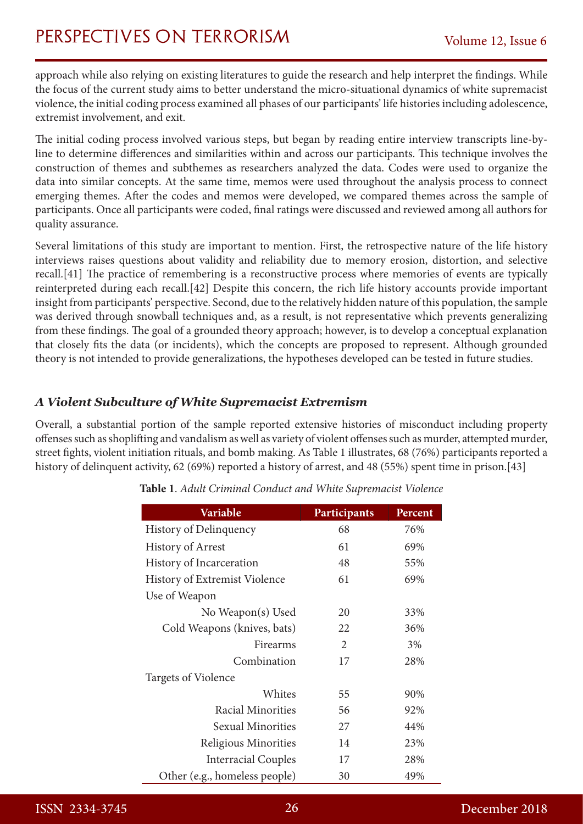approach while also relying on existing literatures to guide the research and help interpret the findings. While the focus of the current study aims to better understand the micro-situational dynamics of white supremacist violence, the initial coding process examined all phases of our participants' life histories including adolescence, extremist involvement, and exit.

The initial coding process involved various steps, but began by reading entire interview transcripts line-byline to determine differences and similarities within and across our participants. This technique involves the construction of themes and subthemes as researchers analyzed the data. Codes were used to organize the data into similar concepts. At the same time, memos were used throughout the analysis process to connect emerging themes. After the codes and memos were developed, we compared themes across the sample of participants. Once all participants were coded, final ratings were discussed and reviewed among all authors for quality assurance.

Several limitations of this study are important to mention. First, the retrospective nature of the life history interviews raises questions about validity and reliability due to memory erosion, distortion, and selective recall.[41] The practice of remembering is a reconstructive process where memories of events are typically reinterpreted during each recall.[42] Despite this concern, the rich life history accounts provide important insight from participants' perspective. Second, due to the relatively hidden nature of this population, the sample was derived through snowball techniques and, as a result, is not representative which prevents generalizing from these findings. The goal of a grounded theory approach; however, is to develop a conceptual explanation that closely fits the data (or incidents), which the concepts are proposed to represent. Although grounded theory is not intended to provide generalizations, the hypotheses developed can be tested in future studies.

### *A Violent Subculture of White Supremacist Extremism*

Overall, a substantial portion of the sample reported extensive histories of misconduct including property offenses such as shoplifting and vandalism as well as variety of violent offenses such as murder, attempted murder, street fights, violent initiation rituals, and bomb making. As Table 1 illustrates, 68 (76%) participants reported a history of delinquent activity, 62 (69%) reported a history of arrest, and 48 (55%) spent time in prison.[43]

| Variable                      | Participants | Percent |
|-------------------------------|--------------|---------|
| History of Delinquency        | 68           | 76%     |
| <b>History of Arrest</b>      | 61           | 69%     |
| History of Incarceration      | 48           | 55%     |
| History of Extremist Violence | 61           | 69%     |
| Use of Weapon                 |              |         |
| No Weapon(s) Used             | 20           | 33%     |
| Cold Weapons (knives, bats)   | 22           | 36%     |
| Firearms                      | 2            | 3%      |
| Combination                   | 17           | 28%     |
| Targets of Violence           |              |         |
| Whites                        | 55           | 90%     |
| <b>Racial Minorities</b>      | 56           | 92%     |
| <b>Sexual Minorities</b>      | 27           | 44%     |
| Religious Minorities          | 14           | 23%     |
| <b>Interracial Couples</b>    | 17           | 28%     |
| Other (e.g., homeless people) | 30           | 49%     |

| Table 1. Adult Criminal Conduct and White Supremacist Violence |
|----------------------------------------------------------------|
|----------------------------------------------------------------|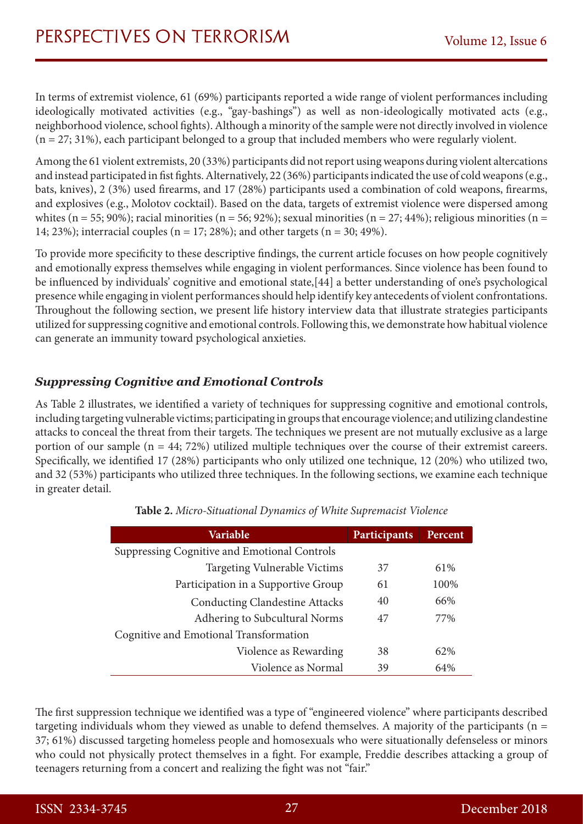In terms of extremist violence, 61 (69%) participants reported a wide range of violent performances including ideologically motivated activities (e.g., "gay-bashings") as well as non-ideologically motivated acts (e.g., neighborhood violence, school fights). Although a minority of the sample were not directly involved in violence  $(n = 27; 31%)$ , each participant belonged to a group that included members who were regularly violent.

Among the 61 violent extremists, 20 (33%) participants did not report using weapons during violent altercations and instead participated in fist fights. Alternatively, 22 (36%) participants indicated the use of cold weapons (e.g., bats, knives), 2 (3%) used firearms, and 17 (28%) participants used a combination of cold weapons, firearms, and explosives (e.g., Molotov cocktail). Based on the data, targets of extremist violence were dispersed among whites (n = 55; 90%); racial minorities (n = 56; 92%); sexual minorities (n = 27; 44%); religious minorities (n = 14; 23%); interracial couples ( $n = 17$ ; 28%); and other targets ( $n = 30$ ; 49%).

To provide more specificity to these descriptive findings, the current article focuses on how people cognitively and emotionally express themselves while engaging in violent performances. Since violence has been found to be influenced by individuals' cognitive and emotional state,[44] a better understanding of one's psychological presence while engaging in violent performances should help identify key antecedents of violent confrontations. Throughout the following section, we present life history interview data that illustrate strategies participants utilized for suppressing cognitive and emotional controls. Following this, we demonstrate how habitual violence can generate an immunity toward psychological anxieties.

### *Suppressing Cognitive and Emotional Controls*

As Table 2 illustrates, we identified a variety of techniques for suppressing cognitive and emotional controls, including targeting vulnerable victims; participating in groups that encourage violence; and utilizing clandestine attacks to conceal the threat from their targets. The techniques we present are not mutually exclusive as a large portion of our sample (n = 44; 72%) utilized multiple techniques over the course of their extremist careers. Specifically, we identified 17 (28%) participants who only utilized one technique, 12 (20%) who utilized two, and 32 (53%) participants who utilized three techniques. In the following sections, we examine each technique in greater detail.

| <b>Variable</b>                              | <b>Participants</b> | <b>Percent</b> |
|----------------------------------------------|---------------------|----------------|
| Suppressing Cognitive and Emotional Controls |                     |                |
| Targeting Vulnerable Victims                 | 37                  | 61\%           |
| Participation in a Supportive Group          | 61                  | 100%           |
| <b>Conducting Clandestine Attacks</b>        | 40                  | 66%            |
| Adhering to Subcultural Norms                | 47                  | 77%            |
| Cognitive and Emotional Transformation       |                     |                |
| Violence as Rewarding                        | 38                  | 62%            |
| Violence as Normal                           | 39                  | 64%            |

**Table 2.** *Micro-Situational Dynamics of White Supremacist Violence*

The first suppression technique we identified was a type of "engineered violence" where participants described targeting individuals whom they viewed as unable to defend themselves. A majority of the participants (n = 37; 61%) discussed targeting homeless people and homosexuals who were situationally defenseless or minors who could not physically protect themselves in a fight. For example, Freddie describes attacking a group of teenagers returning from a concert and realizing the fight was not "fair."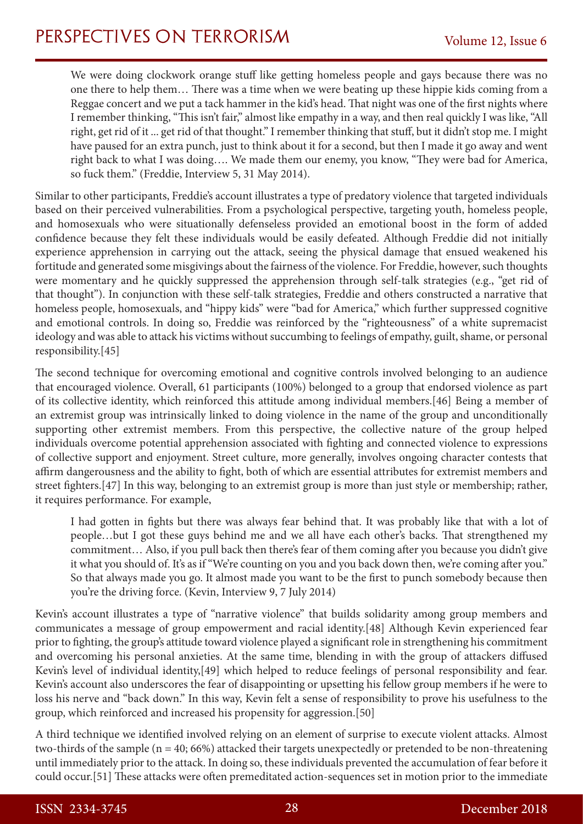We were doing clockwork orange stuff like getting homeless people and gays because there was no one there to help them… There was a time when we were beating up these hippie kids coming from a Reggae concert and we put a tack hammer in the kid's head. That night was one of the first nights where I remember thinking, "This isn't fair," almost like empathy in a way, and then real quickly I was like, "All right, get rid of it ... get rid of that thought." I remember thinking that stuff, but it didn't stop me. I might have paused for an extra punch, just to think about it for a second, but then I made it go away and went right back to what I was doing…. We made them our enemy, you know, "They were bad for America, so fuck them." (Freddie, Interview 5, 31 May 2014).

Similar to other participants, Freddie's account illustrates a type of predatory violence that targeted individuals based on their perceived vulnerabilities. From a psychological perspective, targeting youth, homeless people, and homosexuals who were situationally defenseless provided an emotional boost in the form of added confidence because they felt these individuals would be easily defeated. Although Freddie did not initially experience apprehension in carrying out the attack, seeing the physical damage that ensued weakened his fortitude and generated some misgivings about the fairness of the violence. For Freddie, however, such thoughts were momentary and he quickly suppressed the apprehension through self-talk strategies (e.g., "get rid of that thought"). In conjunction with these self-talk strategies, Freddie and others constructed a narrative that homeless people, homosexuals, and "hippy kids" were "bad for America," which further suppressed cognitive and emotional controls. In doing so, Freddie was reinforced by the "righteousness" of a white supremacist ideology and was able to attack his victims without succumbing to feelings of empathy, guilt, shame, or personal responsibility.[45]

The second technique for overcoming emotional and cognitive controls involved belonging to an audience that encouraged violence. Overall, 61 participants (100%) belonged to a group that endorsed violence as part of its collective identity, which reinforced this attitude among individual members.[46] Being a member of an extremist group was intrinsically linked to doing violence in the name of the group and unconditionally supporting other extremist members. From this perspective, the collective nature of the group helped individuals overcome potential apprehension associated with fighting and connected violence to expressions of collective support and enjoyment. Street culture, more generally, involves ongoing character contests that affirm dangerousness and the ability to fight, both of which are essential attributes for extremist members and street fighters.[47] In this way, belonging to an extremist group is more than just style or membership; rather, it requires performance. For example,

I had gotten in fights but there was always fear behind that. It was probably like that with a lot of people…but I got these guys behind me and we all have each other's backs. That strengthened my commitment… Also, if you pull back then there's fear of them coming after you because you didn't give it what you should of. It's as if "We're counting on you and you back down then, we're coming after you." So that always made you go. It almost made you want to be the first to punch somebody because then you're the driving force. (Kevin, Interview 9, 7 July 2014)

Kevin's account illustrates a type of "narrative violence" that builds solidarity among group members and communicates a message of group empowerment and racial identity.[48] Although Kevin experienced fear prior to fighting, the group's attitude toward violence played a significant role in strengthening his commitment and overcoming his personal anxieties. At the same time, blending in with the group of attackers diffused Kevin's level of individual identity,[49] which helped to reduce feelings of personal responsibility and fear. Kevin's account also underscores the fear of disappointing or upsetting his fellow group members if he were to loss his nerve and "back down." In this way, Kevin felt a sense of responsibility to prove his usefulness to the group, which reinforced and increased his propensity for aggression.[50]

A third technique we identified involved relying on an element of surprise to execute violent attacks. Almost two-thirds of the sample (n = 40; 66%) attacked their targets unexpectedly or pretended to be non-threatening until immediately prior to the attack. In doing so, these individuals prevented the accumulation of fear before it could occur.[51] These attacks were often premeditated action-sequences set in motion prior to the immediate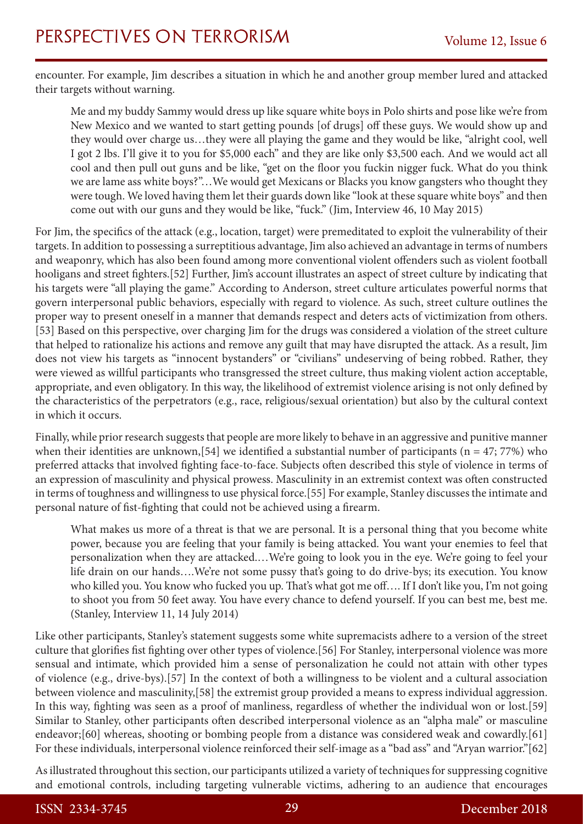encounter. For example, Jim describes a situation in which he and another group member lured and attacked their targets without warning.

Me and my buddy Sammy would dress up like square white boys in Polo shirts and pose like we're from New Mexico and we wanted to start getting pounds [of drugs] off these guys. We would show up and they would over charge us…they were all playing the game and they would be like, "alright cool, well I got 2 lbs. I'll give it to you for \$5,000 each" and they are like only \$3,500 each. And we would act all cool and then pull out guns and be like, "get on the floor you fuckin nigger fuck. What do you think we are lame ass white boys?"…We would get Mexicans or Blacks you know gangsters who thought they were tough. We loved having them let their guards down like "look at these square white boys" and then come out with our guns and they would be like, "fuck." (Jim, Interview 46, 10 May 2015)

For Jim, the specifics of the attack (e.g., location, target) were premeditated to exploit the vulnerability of their targets. In addition to possessing a surreptitious advantage, Jim also achieved an advantage in terms of numbers and weaponry, which has also been found among more conventional violent offenders such as violent football hooligans and street fighters.[52] Further, Jim's account illustrates an aspect of street culture by indicating that his targets were "all playing the game." According to Anderson, street culture articulates powerful norms that govern interpersonal public behaviors, especially with regard to violence. As such, street culture outlines the proper way to present oneself in a manner that demands respect and deters acts of victimization from others. [53] Based on this perspective, over charging Jim for the drugs was considered a violation of the street culture that helped to rationalize his actions and remove any guilt that may have disrupted the attack. As a result, Jim does not view his targets as "innocent bystanders" or "civilians" undeserving of being robbed. Rather, they were viewed as willful participants who transgressed the street culture, thus making violent action acceptable, appropriate, and even obligatory. In this way, the likelihood of extremist violence arising is not only defined by the characteristics of the perpetrators (e.g., race, religious/sexual orientation) but also by the cultural context in which it occurs.

Finally, while prior research suggests that people are more likely to behave in an aggressive and punitive manner when their identities are unknown, [54] we identified a substantial number of participants ( $n = 47$ ; 77%) who preferred attacks that involved fighting face-to-face. Subjects often described this style of violence in terms of an expression of masculinity and physical prowess. Masculinity in an extremist context was often constructed in terms of toughness and willingness to use physical force.[55] For example, Stanley discusses the intimate and personal nature of fist-fighting that could not be achieved using a firearm.

What makes us more of a threat is that we are personal. It is a personal thing that you become white power, because you are feeling that your family is being attacked. You want your enemies to feel that personalization when they are attacked.…We're going to look you in the eye. We're going to feel your life drain on our hands….We're not some pussy that's going to do drive-bys; its execution. You know who killed you. You know who fucked you up. That's what got me off…. If I don't like you, I'm not going to shoot you from 50 feet away. You have every chance to defend yourself. If you can best me, best me. (Stanley, Interview 11, 14 July 2014)

Like other participants, Stanley's statement suggests some white supremacists adhere to a version of the street culture that glorifies fist fighting over other types of violence.[56] For Stanley, interpersonal violence was more sensual and intimate, which provided him a sense of personalization he could not attain with other types of violence (e.g., drive-bys).[57] In the context of both a willingness to be violent and a cultural association between violence and masculinity,[58] the extremist group provided a means to express individual aggression. In this way, fighting was seen as a proof of manliness, regardless of whether the individual won or lost.[59] Similar to Stanley, other participants often described interpersonal violence as an "alpha male" or masculine endeavor;[60] whereas, shooting or bombing people from a distance was considered weak and cowardly.[61] For these individuals, interpersonal violence reinforced their self-image as a "bad ass" and "Aryan warrior."[62]

As illustrated throughout this section, our participants utilized a variety of techniques for suppressing cognitive and emotional controls, including targeting vulnerable victims, adhering to an audience that encourages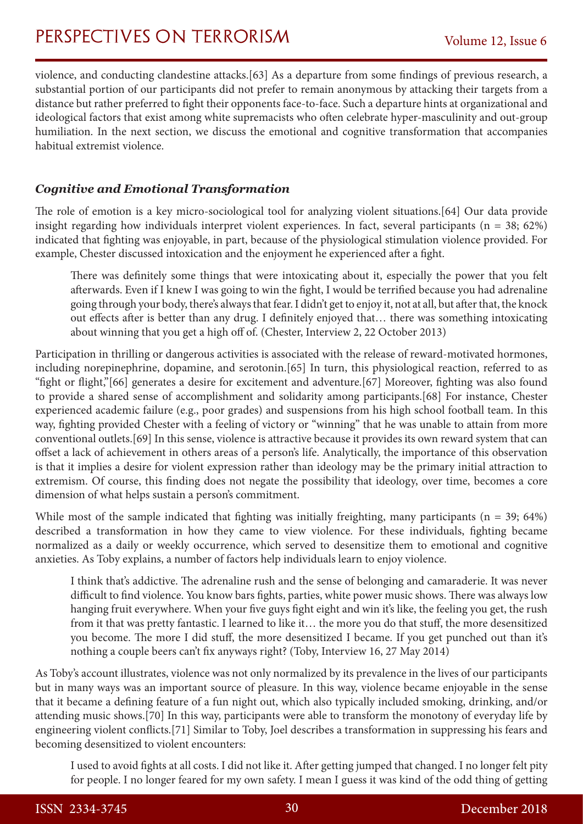violence, and conducting clandestine attacks.[63] As a departure from some findings of previous research, a substantial portion of our participants did not prefer to remain anonymous by attacking their targets from a distance but rather preferred to fight their opponents face-to-face. Such a departure hints at organizational and ideological factors that exist among white supremacists who often celebrate hyper-masculinity and out-group humiliation. In the next section, we discuss the emotional and cognitive transformation that accompanies habitual extremist violence.

### *Cognitive and Emotional Transformation*

The role of emotion is a key micro-sociological tool for analyzing violent situations.[64] Our data provide insight regarding how individuals interpret violent experiences. In fact, several participants (n = 38; 62%) indicated that fighting was enjoyable, in part, because of the physiological stimulation violence provided. For example, Chester discussed intoxication and the enjoyment he experienced after a fight.

There was definitely some things that were intoxicating about it, especially the power that you felt afterwards. Even if I knew I was going to win the fight, I would be terrified because you had adrenaline going through your body, there's always that fear. I didn't get to enjoy it, not at all, but after that, the knock out effects after is better than any drug. I definitely enjoyed that… there was something intoxicating about winning that you get a high off of. (Chester, Interview 2, 22 October 2013)

Participation in thrilling or dangerous activities is associated with the release of reward-motivated hormones, including norepinephrine, dopamine, and serotonin.[65] In turn, this physiological reaction, referred to as "fight or flight,"[66] generates a desire for excitement and adventure.[67] Moreover, fighting was also found to provide a shared sense of accomplishment and solidarity among participants.[68] For instance, Chester experienced academic failure (e.g., poor grades) and suspensions from his high school football team. In this way, fighting provided Chester with a feeling of victory or "winning" that he was unable to attain from more conventional outlets.[69] In this sense, violence is attractive because it provides its own reward system that can offset a lack of achievement in others areas of a person's life. Analytically, the importance of this observation is that it implies a desire for violent expression rather than ideology may be the primary initial attraction to extremism. Of course, this finding does not negate the possibility that ideology, over time, becomes a core dimension of what helps sustain a person's commitment.

While most of the sample indicated that fighting was initially freighting, many participants ( $n = 39$ ; 64%) described a transformation in how they came to view violence. For these individuals, fighting became normalized as a daily or weekly occurrence, which served to desensitize them to emotional and cognitive anxieties. As Toby explains, a number of factors help individuals learn to enjoy violence.

I think that's addictive. The adrenaline rush and the sense of belonging and camaraderie. It was never difficult to find violence. You know bars fights, parties, white power music shows. There was always low hanging fruit everywhere. When your five guys fight eight and win it's like, the feeling you get, the rush from it that was pretty fantastic. I learned to like it… the more you do that stuff, the more desensitized you become. The more I did stuff, the more desensitized I became. If you get punched out than it's nothing a couple beers can't fix anyways right? (Toby, Interview 16, 27 May 2014)

As Toby's account illustrates, violence was not only normalized by its prevalence in the lives of our participants but in many ways was an important source of pleasure. In this way, violence became enjoyable in the sense that it became a defining feature of a fun night out, which also typically included smoking, drinking, and/or attending music shows.[70] In this way, participants were able to transform the monotony of everyday life by engineering violent conflicts.[71] Similar to Toby, Joel describes a transformation in suppressing his fears and becoming desensitized to violent encounters:

I used to avoid fights at all costs. I did not like it. After getting jumped that changed. I no longer felt pity for people. I no longer feared for my own safety. I mean I guess it was kind of the odd thing of getting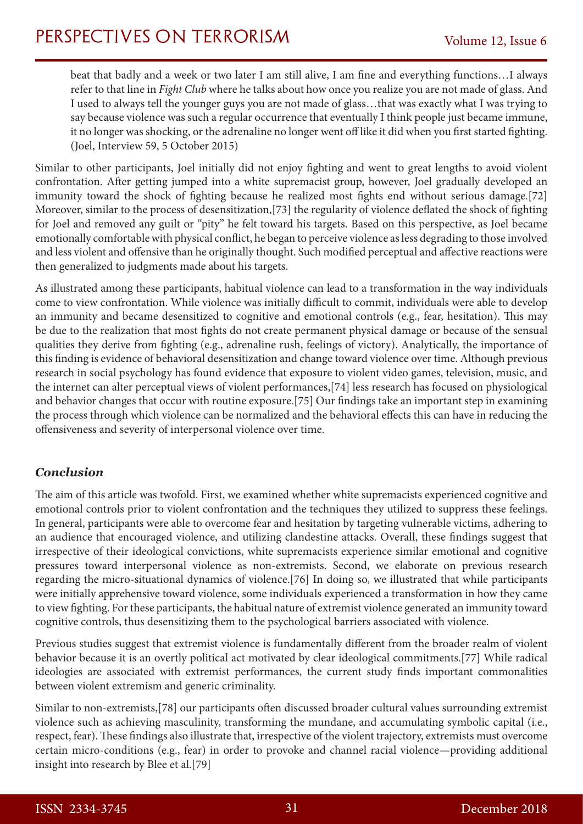beat that badly and a week or two later I am still alive, I am fine and everything functions…I always refer to that line in *Fight Club* where he talks about how once you realize you are not made of glass. And I used to always tell the younger guys you are not made of glass…that was exactly what I was trying to say because violence was such a regular occurrence that eventually I think people just became immune, it no longer was shocking, or the adrenaline no longer went off like it did when you first started fighting. (Joel, Interview 59, 5 October 2015)

Similar to other participants, Joel initially did not enjoy fighting and went to great lengths to avoid violent confrontation. After getting jumped into a white supremacist group, however, Joel gradually developed an immunity toward the shock of fighting because he realized most fights end without serious damage.[72] Moreover, similar to the process of desensitization,[73] the regularity of violence deflated the shock of fighting for Joel and removed any guilt or "pity" he felt toward his targets. Based on this perspective, as Joel became emotionally comfortable with physical conflict, he began to perceive violence as less degrading to those involved and less violent and offensive than he originally thought. Such modified perceptual and affective reactions were then generalized to judgments made about his targets.

As illustrated among these participants, habitual violence can lead to a transformation in the way individuals come to view confrontation. While violence was initially difficult to commit, individuals were able to develop an immunity and became desensitized to cognitive and emotional controls (e.g., fear, hesitation). This may be due to the realization that most fights do not create permanent physical damage or because of the sensual qualities they derive from fighting (e.g., adrenaline rush, feelings of victory). Analytically, the importance of this finding is evidence of behavioral desensitization and change toward violence over time. Although previous research in social psychology has found evidence that exposure to violent video games, television, music, and the internet can alter perceptual views of violent performances,[74] less research has focused on physiological and behavior changes that occur with routine exposure.[75] Our findings take an important step in examining the process through which violence can be normalized and the behavioral effects this can have in reducing the offensiveness and severity of interpersonal violence over time.

### *Conclusion*

The aim of this article was twofold. First, we examined whether white supremacists experienced cognitive and emotional controls prior to violent confrontation and the techniques they utilized to suppress these feelings. In general, participants were able to overcome fear and hesitation by targeting vulnerable victims, adhering to an audience that encouraged violence, and utilizing clandestine attacks. Overall, these findings suggest that irrespective of their ideological convictions, white supremacists experience similar emotional and cognitive pressures toward interpersonal violence as non-extremists. Second, we elaborate on previous research regarding the micro-situational dynamics of violence.[76] In doing so, we illustrated that while participants were initially apprehensive toward violence, some individuals experienced a transformation in how they came to view fighting. For these participants, the habitual nature of extremist violence generated an immunity toward cognitive controls, thus desensitizing them to the psychological barriers associated with violence.

Previous studies suggest that extremist violence is fundamentally different from the broader realm of violent behavior because it is an overtly political act motivated by clear ideological commitments.[77] While radical ideologies are associated with extremist performances, the current study finds important commonalities between violent extremism and generic criminality.

Similar to non-extremists,[78] our participants often discussed broader cultural values surrounding extremist violence such as achieving masculinity, transforming the mundane, and accumulating symbolic capital (i.e., respect, fear). These findings also illustrate that, irrespective of the violent trajectory, extremists must overcome certain micro-conditions (e.g., fear) in order to provoke and channel racial violence—providing additional insight into research by Blee et al.[79]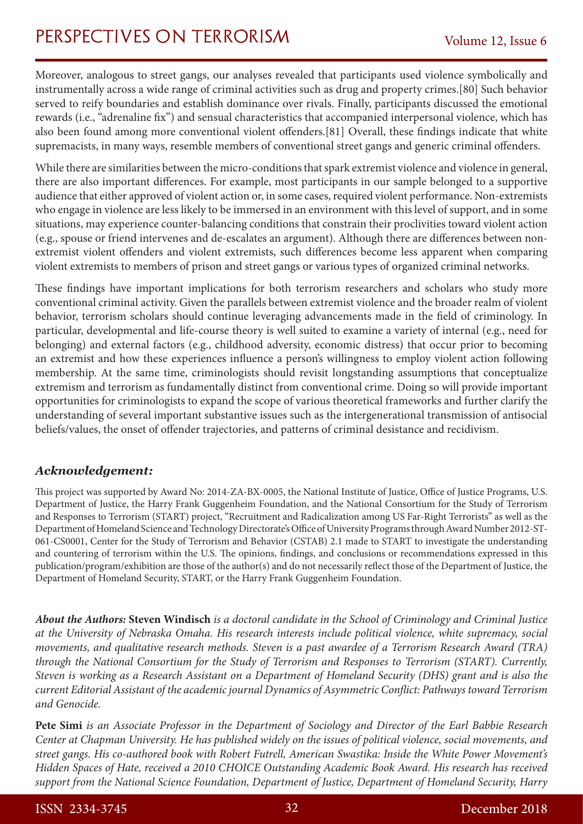Moreover, analogous to street gangs, our analyses revealed that participants used violence symbolically and instrumentally across a wide range of criminal activities such as drug and property crimes.[80] Such behavior served to reify boundaries and establish dominance over rivals. Finally, participants discussed the emotional rewards (i.e., "adrenaline fix") and sensual characteristics that accompanied interpersonal violence, which has also been found among more conventional violent offenders.[81] Overall, these findings indicate that white supremacists, in many ways, resemble members of conventional street gangs and generic criminal offenders.

While there are similarities between the micro-conditions that spark extremist violence and violence in general, there are also important differences. For example, most participants in our sample belonged to a supportive audience that either approved of violent action or, in some cases, required violent performance. Non-extremists who engage in violence are less likely to be immersed in an environment with this level of support, and in some situations, may experience counter-balancing conditions that constrain their proclivities toward violent action (e.g., spouse or friend intervenes and de-escalates an argument). Although there are differences between nonextremist violent offenders and violent extremists, such differences become less apparent when comparing violent extremists to members of prison and street gangs or various types of organized criminal networks.

These findings have important implications for both terrorism researchers and scholars who study more conventional criminal activity. Given the parallels between extremist violence and the broader realm of violent behavior, terrorism scholars should continue leveraging advancements made in the field of criminology. In particular, developmental and life-course theory is well suited to examine a variety of internal (e.g., need for belonging) and external factors (e.g., childhood adversity, economic distress) that occur prior to becoming an extremist and how these experiences influence a person's willingness to employ violent action following membership. At the same time, criminologists should revisit longstanding assumptions that conceptualize extremism and terrorism as fundamentally distinct from conventional crime. Doing so will provide important opportunities for criminologists to expand the scope of various theoretical frameworks and further clarify the understanding of several important substantive issues such as the intergenerational transmission of antisocial beliefs/values, the onset of offender trajectories, and patterns of criminal desistance and recidivism.

### *Acknowledgement:*

This project was supported by Award No: 2014-ZA-BX-0005, the National Institute of Justice, Office of Justice Programs, U.S. Department of Justice, the Harry Frank Guggenheim Foundation, and the National Consortium for the Study of Terrorism and Responses to Terrorism (START) project, "Recruitment and Radicalization among US Far-Right Terrorists" as well as the Department of Homeland Science and Technology Directorate's Office of University Programs through Award Number 2012-ST-061-CS0001, Center for the Study of Terrorism and Behavior (CSTAB) 2.1 made to START to investigate the understanding and countering of terrorism within the U.S. The opinions, findings, and conclusions or recommendations expressed in this publication/program/exhibition are those of the author(s) and do not necessarily reflect those of the Department of Justice, the Department of Homeland Security, START, or the Harry Frank Guggenheim Foundation.

*About the Authors:* **Steven Windisch** *is a doctoral candidate in the School of Criminology and Criminal Justice at the University of Nebraska Omaha. His research interests include political violence, white supremacy, social movements, and qualitative research methods. Steven is a past awardee of a Terrorism Research Award (TRA) through the National Consortium for the Study of Terrorism and Responses to Terrorism (START). Currently, Steven is working as a Research Assistant on a Department of Homeland Security (DHS) grant and is also the current Editorial Assistant of the academic journal Dynamics of Asymmetric Conflict: Pathways toward Terrorism and Genocide.*

**Pete Simi** *is an Associate Professor in the Department of Sociology and Director of the Earl Babbie Research Center at Chapman University. He has published widely on the issues of political violence, social movements, and street gangs. His co-authored book with Robert Futrell, American Swastika: Inside the White Power Movement's Hidden Spaces of Hate, received a 2010 CHOICE Outstanding Academic Book Award. His research has received support from the National Science Foundation, Department of Justice, Department of Homeland Security, Harry*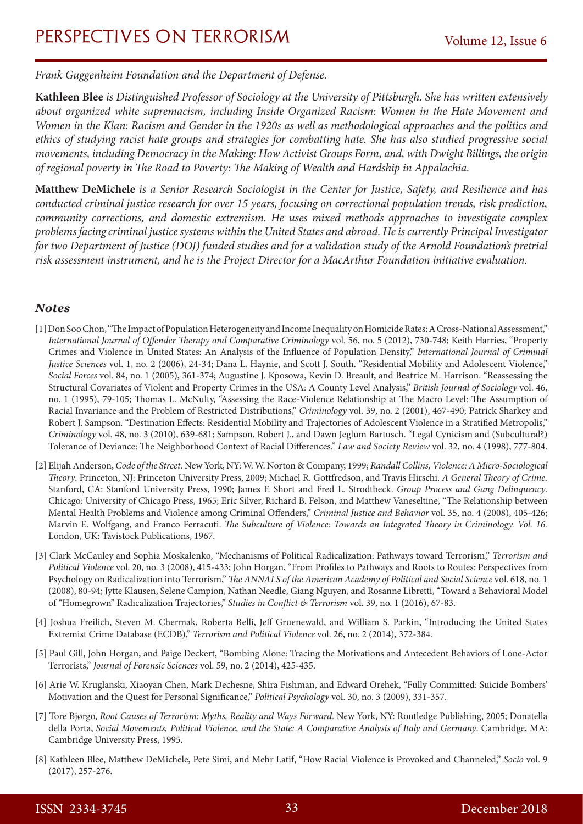*Frank Guggenheim Foundation and the Department of Defense.*

**[Kathleen Blee](http://www.as.pitt.edu/about/kathy-blee)** *is Distinguished Professor of Sociology at the University of Pittsburgh. She has written extensively about organized white supremacism, including Inside Organized Racism: Women in the Hate Movement and Women in the Klan: Racism and Gender in the 1920s as well as methodological approaches and the politics and ethics of studying racist hate groups and strategies for combatting hate. She has also studied progressive social movements, including Democracy in the Making: How Activist Groups Form, and, with Dwight Billings, the origin of regional poverty in The Road to Poverty: The Making of Wealth and Hardship in Appalachia.*

**Matthew DeMichele** *is a Senior Research Sociologist in the Center for Justice, Safety, and Resilience and has conducted criminal justice research for over 15 years, focusing on correctional population trends, risk prediction, community corrections, and domestic extremism. He uses mixed methods approaches to investigate complex problems facing criminal justice systems within the United States and abroad. He is currently Principal Investigator for two Department of Justice (DOJ) funded studies and for a validation study of the Arnold Foundation's pretrial risk assessment instrument, and he is the Project Director for a MacArthur Foundation initiative evaluation.*

#### *Notes*

- [1] Don Soo Chon, "The Impact of Population Heterogeneity and Income Inequality on Homicide Rates: A Cross-National Assessment," *International Journal of Offender Therapy and Comparative Criminology* vol. 56, no. 5 (2012), 730-748; Keith Harries, "Property Crimes and Violence in United States: An Analysis of the Influence of Population Density," *International Journal of Criminal Justice Sciences* vol. 1, no. 2 (2006), 24-34; Dana L. Haynie, and Scott J. South. "Residential Mobility and Adolescent Violence," *Social Forces* vol. 84, no. 1 (2005), 361-374; Augustine J. Kposowa, Kevin D. Breault, and Beatrice M. Harrison. "Reassessing the Structural Covariates of Violent and Property Crimes in the USA: A County Level Analysis," *British Journal of Sociology* vol. 46, no. 1 (1995), 79-105; Thomas L. McNulty, "Assessing the Race‐Violence Relationship at The Macro Level: The Assumption of Racial Invariance and the Problem of Restricted Distributions," *Criminology* vol. 39, no. 2 (2001), 467-490; Patrick Sharkey and Robert J. Sampson. "Destination Effects: Residential Mobility and Trajectories of Adolescent Violence in a Stratified Metropolis," *Criminology* vol. 48, no. 3 (2010), 639-681; Sampson, Robert J., and Dawn Jeglum Bartusch. "Legal Cynicism and (Subcultural?) Tolerance of Deviance: The Neighborhood Context of Racial Differences." *Law and Society Review* vol. 32, no. 4 (1998), 777-804.
- [2] Elijah Anderson, *Code of the Street.* New York, NY: W. W. Norton & Company, 1999; *Randall Collins, Violence: A Micro-Sociological Theory*. Princeton, NJ: Princeton University Press, 2009; Michael R. Gottfredson, and Travis Hirschi. *A General Theory of Crime.*  Stanford, CA: Stanford University Press, 1990; James F. Short and Fred L. Strodtbeck. *Group Process and Gang Delinquency*. Chicago: University of Chicago Press, 1965; Eric Silver, Richard B. Felson, and Matthew Vaneseltine, "The Relationship between Mental Health Problems and Violence among Criminal Offenders," *Criminal Justice and Behavior* vol. 35, no. 4 (2008), 405-426; Marvin E. Wolfgang, and Franco Ferracuti. *The Subculture of Violence: Towards an Integrated Theory in Criminology. Vol. 16.* London, UK: Tavistock Publications, 1967.
- [3] Clark McCauley and Sophia Moskalenko, "Mechanisms of Political Radicalization: Pathways toward Terrorism," *Terrorism and Political Violence* vol. 20, no. 3 (2008), 415-433; John Horgan, "From Profiles to Pathways and Roots to Routes: Perspectives from Psychology on Radicalization into Terrorism," *The ANNALS of the American Academy of Political and Social Science* vol. 618, no. 1 (2008), 80-94; Jytte Klausen, Selene Campion, Nathan Needle, Giang Nguyen, and Rosanne Libretti, "Toward a Behavioral Model of "Homegrown" Radicalization Trajectories," *Studies in Conflict & Terrorism* vol. 39, no. 1 (2016), 67-83.
- [4] Joshua Freilich, Steven M. Chermak, Roberta Belli, Jeff Gruenewald, and William S. Parkin, "Introducing the United States Extremist Crime Database (ECDB)," *Terrorism and Political Violence* vol. 26, no. 2 (2014), 372-384.
- [5] Paul Gill, John Horgan, and Paige Deckert, "Bombing Alone: Tracing the Motivations and Antecedent Behaviors of Lone‐Actor Terrorists," *Journal of Forensic Sciences* vol. 59, no. 2 (2014), 425-435.
- [6] Arie W. Kruglanski, Xiaoyan Chen, Mark Dechesne, Shira Fishman, and Edward Orehek, "Fully Committed: Suicide Bombers' Motivation and the Quest for Personal Significance," *Political Psychology* vol. 30, no. 3 (2009), 331-357.
- [7] Tore Bjørgo, *Root Causes of Terrorism: Myths, Reality and Ways Forward*. New York, NY: Routledge Publishing, 2005; Donatella della Porta, *Social Movements, Political Violence, and the State: A Comparative Analysis of Italy and Germany*. Cambridge, MA: Cambridge University Press, 1995.
- [8] Kathleen Blee, Matthew DeMichele, Pete Simi, and Mehr Latif, "How Racial Violence is Provoked and Channeled," *Socio* vol. 9 (2017), 257-276.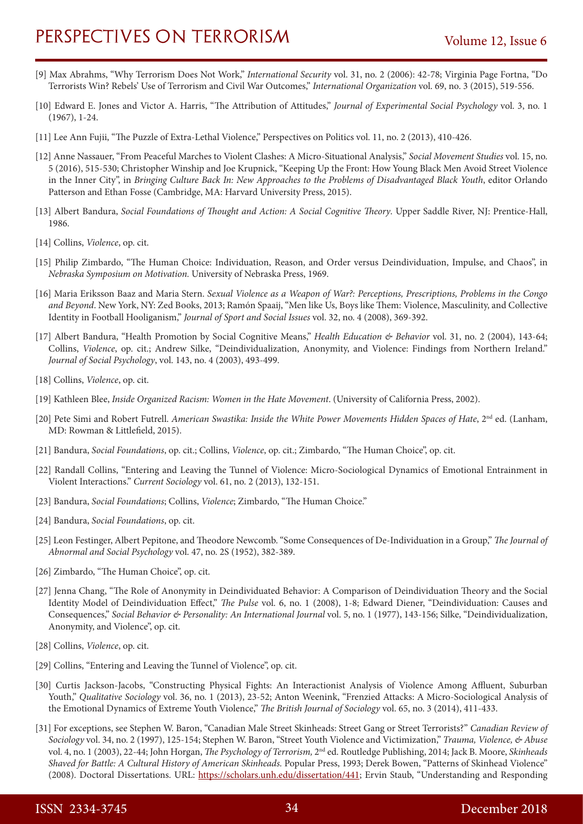- [9] Max Abrahms, "Why Terrorism Does Not Work," *International Security* vol. 31, no. 2 (2006): 42-78; Virginia Page Fortna, "Do Terrorists Win? Rebels' Use of Terrorism and Civil War Outcomes," *International Organization* vol. 69, no. 3 (2015), 519-556.
- [10] Edward E. Jones and Victor A. Harris, "The Attribution of Attitudes," *Journal of Experimental Social Psychology* vol. 3, no. 1 (1967), 1-24.
- [11] Lee Ann Fujii, "The Puzzle of Extra-Lethal Violence," Perspectives on Politics vol. 11, no. 2 (2013), 410-426.
- [12] Anne Nassauer, "From Peaceful Marches to Violent Clashes: A Micro-Situational Analysis," *Social Movement Studies* vol. 15, no. 5 (2016), 515-530; Christopher Winship and Joe Krupnick, "Keeping Up the Front: How Young Black Men Avoid Street Violence in the Inner City", in *Bringing Culture Back In: New Approaches to the Problems of Disadvantaged Black Youth*, editor Orlando Patterson and Ethan Fosse (Cambridge, MA: Harvard University Press, 2015).
- [13] Albert Bandura, *Social Foundations of Thought and Action: A Social Cognitive Theory*. Upper Saddle River, NJ: Prentice-Hall, 1986.
- [14] Collins, *Violence*, op. cit.
- [15] Philip Zimbardo, "The Human Choice: Individuation, Reason, and Order versus Deindividuation, Impulse, and Chaos", in *Nebraska Symposium on Motivation.* University of Nebraska Press, 1969.
- [16] Maria Eriksson Baaz and Maria Stern. *Sexual Violence as a Weapon of War?: Perceptions, Prescriptions, Problems in the Congo and Beyond*. New York, NY: Zed Books, 2013; Ramón Spaaij, "Men like Us, Boys like Them: Violence, Masculinity, and Collective Identity in Football Hooliganism," *Journal of Sport and Social Issues* vol. 32, no. 4 (2008), 369-392.
- [17] Albert Bandura, "Health Promotion by Social Cognitive Means," *Health Education & Behavior* vol. 31, no. 2 (2004), 143-64; Collins, *Violence*, op. cit.; Andrew Silke, "Deindividualization, Anonymity, and Violence: Findings from Northern Ireland." *Journal of Social Psychology*, vol. 143, no. 4 (2003), 493-499.
- [18] Collins, *Violence*, op. cit.
- [19] Kathleen Blee, *Inside Organized Racism: Women in the Hate Movement*. (University of California Press, 2002).
- [20] Pete Simi and Robert Futrell. *American Swastika: Inside the White Power Movements Hidden Spaces of Hate*, 2<sup>nd</sup> ed. (Lanham, MD: Rowman & Littlefield, 2015).
- [21] Bandura, *Social Foundations*, op. cit.; Collins, *Violence*, op. cit.; Zimbardo, "The Human Choice", op. cit.
- [22] Randall Collins, "Entering and Leaving the Tunnel of Violence: Micro-Sociological Dynamics of Emotional Entrainment in Violent Interactions." *Current Sociology* vol. 61, no. 2 (2013), 132-151.
- [23] Bandura, *Social Foundations*; Collins, *Violence*; Zimbardo, "The Human Choice."
- [24] Bandura, *Social Foundations*, op. cit.
- [25] Leon Festinger, Albert Pepitone, and Theodore Newcomb. "Some Consequences of De-Individuation in a Group," *The Journal of Abnormal and Social Psychology* vol. 47, no. 2S (1952), 382-389.
- [26] Zimbardo, "The Human Choice", op. cit.
- [27] Jenna Chang, "The Role of Anonymity in Deindividuated Behavior: A Comparison of Deindividuation Theory and the Social Identity Model of Deindividuation Effect," *The Pulse* vol. 6, no. 1 (2008), 1-8; Edward Diener, "Deindividuation: Causes and Consequences," *Social Behavior & Personality: An International Journal* vol. 5, no. 1 (1977), 143-156; Silke, "Deindividualization, Anonymity, and Violence", op. cit.
- [28] Collins, *Violence*, op. cit.
- [29] Collins, "Entering and Leaving the Tunnel of Violence", op. cit.
- [30] Curtis Jackson-Jacobs, "Constructing Physical Fights: An Interactionist Analysis of Violence Among Affluent, Suburban Youth," *Qualitative Sociology* vol. 36, no. 1 (2013), 23-52; Anton Weenink, "Frenzied Attacks: A Micro‐Sociological Analysis of the Emotional Dynamics of Extreme Youth Violence," *The British Journal of Sociology* vol. 65, no. 3 (2014), 411-433.
- [31] For exceptions, see Stephen W. Baron, "Canadian Male Street Skinheads: Street Gang or Street Terrorists?" *Canadian Review of Sociology* vol. 34, no. 2 (1997), 125-154; Stephen W. Baron, "Street Youth Violence and Victimization," *Trauma, Violence, & Abuse*  vol. 4, no. 1 (2003), 22-44; John Horgan, *The Psychology of Terrorism,* 2nd ed. Routledge Publishing, 2014; Jack B. Moore, *Skinheads Shaved for Battle: A Cultural History of American Skinheads.* Popular Press, 1993; Derek Bowen, "Patterns of Skinhead Violence" (2008). Doctoral Dissertations. URL: <https://scholars.unh.edu/dissertation/441>; Ervin Staub, "Understanding and Responding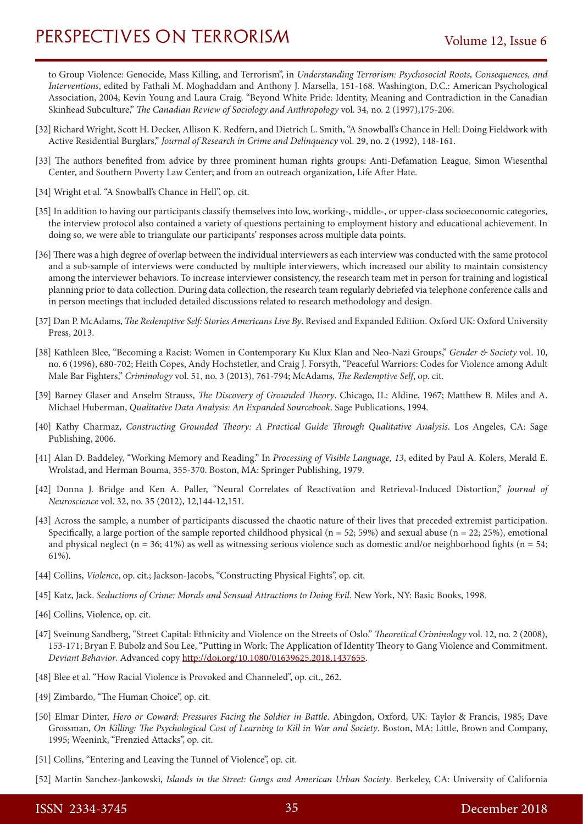to Group Violence: Genocide, Mass Killing, and Terrorism", in *Understanding Terrorism: Psychosocial Roots, Consequences, and Interventions*, edited by Fathali M. Moghaddam and Anthony J. Marsella, 151-168. Washington, D.C.: American Psychological Association, 2004; Kevin Young and Laura Craig. "Beyond White Pride: Identity, Meaning and Contradiction in the Canadian Skinhead Subculture," *The Canadian Review of Sociology and Anthropology* vol. 34, no. 2 (1997),175-206.

- [32] Richard Wright, Scott H. Decker, Allison K. Redfern, and Dietrich L. Smith, "A Snowball's Chance in Hell: Doing Fieldwork with Active Residential Burglars," *Journal of Research in Crime and Delinquency* vol. 29, no. 2 (1992), 148-161.
- [33] The authors benefited from advice by three prominent human rights groups: Anti-Defamation League, Simon Wiesenthal Center, and Southern Poverty Law Center; and from an outreach organization, Life After Hate.
- [34] Wright et al. "A Snowball's Chance in Hell", op. cit.
- [35] In addition to having our participants classify themselves into low, working-, middle-, or upper-class socioeconomic categories, the interview protocol also contained a variety of questions pertaining to employment history and educational achievement. In doing so, we were able to triangulate our participants' responses across multiple data points.
- [36] There was a high degree of overlap between the individual interviewers as each interview was conducted with the same protocol and a sub-sample of interviews were conducted by multiple interviewers, which increased our ability to maintain consistency among the interviewer behaviors. To increase interviewer consistency, the research team met in person for training and logistical planning prior to data collection. During data collection, the research team regularly debriefed via telephone conference calls and in person meetings that included detailed discussions related to research methodology and design.
- [37] Dan P. McAdams, *The Redemptive Self: Stories Americans Live By*. Revised and Expanded Edition. Oxford UK: Oxford University Press, 2013.
- [38] Kathleen Blee, "Becoming a Racist: Women in Contemporary Ku Klux Klan and Neo-Nazi Groups," *Gender & Society* vol. 10, no. 6 (1996), 680-702; Heith Copes, Andy Hochstetler, and Craig J. Forsyth, "Peaceful Warriors: Codes for Violence among Adult Male Bar Fighters," *Criminology* vol. 51, no. 3 (2013), 761-794; McAdams, *The Redemptive Self*, op. cit.
- [39] Barney Glaser and Anselm Strauss, *The Discovery of Grounded Theory*. Chicago, IL: Aldine, 1967; Matthew B. Miles and A. Michael Huberman, *Qualitative Data Analysis: An Expanded Sourcebook*. Sage Publications, 1994.
- [40] Kathy Charmaz, *Constructing Grounded Theory: A Practical Guide Through Qualitative Analysis*. Los Angeles, CA: Sage Publishing, 2006.
- [41] Alan D. Baddeley, "Working Memory and Reading." In *Processing of Visible Language, 13*, edited by Paul A. Kolers, Merald E. Wrolstad, and Herman Bouma, 355-370. Boston, MA: Springer Publishing, 1979.
- [42] Donna J. Bridge and Ken A. Paller, "Neural Correlates of Reactivation and Retrieval-Induced Distortion," *Journal of Neuroscience* vol. 32, no. 35 (2012), 12,144-12,151.
- [43] Across the sample, a number of participants discussed the chaotic nature of their lives that preceded extremist participation. Specifically, a large portion of the sample reported childhood physical ( $n = 52$ ; 59%) and sexual abuse ( $n = 22$ ; 25%), emotional and physical neglect ( $n = 36$ ; 41%) as well as witnessing serious violence such as domestic and/or neighborhood fights ( $n = 54$ ; 61%).
- [44] Collins, *Violence*, op. cit.; Jackson-Jacobs, "Constructing Physical Fights", op. cit.
- [45] Katz, Jack. *Seductions of Crime: Morals and Sensual Attractions to Doing Evil*. New York, NY: Basic Books, 1998.
- [46] Collins, Violence, op. cit.
- [47] Sveinung Sandberg, "Street Capital: Ethnicity and Violence on the Streets of Oslo." *Theoretical Criminology* vol. 12, no. 2 (2008), 153-171; Bryan F. Bubolz and Sou Lee, "Putting in Work: The Application of Identity Theory to Gang Violence and Commitment. *Deviant Behavior*. Advanced copy http://doi.org/10.1080/01639625.2018.1437655.
- [48] Blee et al. "How Racial Violence is Provoked and Channeled", op. cit., 262.
- [49] Zimbardo, "The Human Choice", op. cit.
- [50] Elmar Dinter, *Hero or Coward: Pressures Facing the Soldier in Battle*. Abingdon, Oxford, UK: Taylor & Francis, 1985; Dave Grossman, *On Killing: The Psychological Cost of Learning to Kill in War and Society*. Boston, MA: Little, Brown and Company, 1995; Weenink, "Frenzied Attacks", op. cit.
- [51] Collins, "Entering and Leaving the Tunnel of Violence", op. cit.
- [52] Martin Sanchez-Jankowski, *Islands in the Street: Gangs and American Urban Society*. Berkeley, CA: University of California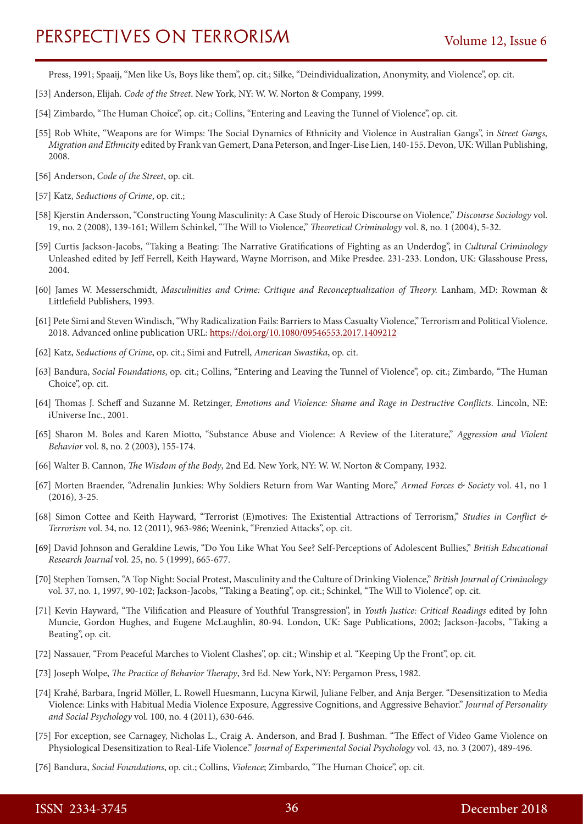Press, 1991; Spaaij, "Men like Us, Boys like them", op. cit.; Silke, "Deindividualization, Anonymity, and Violence", op. cit.

- [53] Anderson, Elijah. *Code of the Street*. New York, NY: W. W. Norton & Company, 1999.
- [54] Zimbardo, "The Human Choice", op. cit.; Collins, "Entering and Leaving the Tunnel of Violence", op. cit.
- [55] Rob White, "Weapons are for Wimps: The Social Dynamics of Ethnicity and Violence in Australian Gangs", in *Street Gangs, Migration and Ethnicity* edited by Frank van Gemert, Dana Peterson, and Inger-Lise Lien, 140-155. Devon, UK: Willan Publishing, 2008.
- [56] Anderson, *Code of the Street*, op. cit.
- [57] Katz, *Seductions of Crime*, op. cit.;
- [58] Kjerstin Andersson, "Constructing Young Masculinity: A Case Study of Heroic Discourse on Violence," *Discourse Sociology* vol. 19, no. 2 (2008), 139-161; Willem Schinkel, "The Will to Violence," *Theoretical Criminology* vol. 8, no. 1 (2004), 5-32.
- [59] Curtis Jackson-Jacobs, "Taking a Beating: The Narrative Gratifications of Fighting as an Underdog", in *Cultural Criminology*  Unleashed edited by Jeff Ferrell, Keith Hayward, Wayne Morrison, and Mike Presdee. 231-233. London, UK: Glasshouse Press, 2004.
- [60] James W. Messerschmidt, *Masculinities and Crime: Critique and Reconceptualization of Theory.* Lanham, MD: Rowman & Littlefield Publishers, 1993.
- [61] Pete Simi and Steven Windisch, "Why Radicalization Fails: Barriers to Mass Casualty Violence," Terrorism and Political Violence. 2018. Advanced online publication URL:<https://doi.org/10.1080/09546553.2017.1409212>
- [62] Katz, *Seductions of Crime*, op. cit.; Simi and Futrell, *American Swastika*, op. cit.
- [63] Bandura, *Social Foundations*, op. cit.; Collins, "Entering and Leaving the Tunnel of Violence", op. cit.; Zimbardo, "The Human Choice", op. cit.
- [64] Thomas J. Scheff and Suzanne M. Retzinger, *Emotions and Violence: Shame and Rage in Destructive Conflicts*. Lincoln, NE: iUniverse Inc., 2001.
- [65] Sharon M. Boles and Karen Miotto, "Substance Abuse and Violence: A Review of the Literature," *Aggression and Violent Behavior* vol. 8, no. 2 (2003), 155-174.
- [66] Walter B. Cannon, *The Wisdom of the Body*, 2nd Ed. New York, NY: W. W. Norton & Company, 1932.
- [67] Morten Braender, "Adrenalin Junkies: Why Soldiers Return from War Wanting More," *Armed Forces & Society* vol. 41, no 1 (2016), 3-25.
- [68] Simon Cottee and Keith Hayward, "Terrorist (E)motives: The Existential Attractions of Terrorism," *Studies in Conflict & Terrorism* vol. 34, no. 12 (2011), 963-986; Weenink, "Frenzied Attacks", op. cit.
- [69] David Johnson and Geraldine Lewis, "Do You Like What You See? Self‐Perceptions of Adolescent Bullies," *British Educational Research Journal* vol. 25, no. 5 (1999), 665-677.
- [70] Stephen Tomsen, "A Top Night: Social Protest, Masculinity and the Culture of Drinking Violence," *British Journal of Criminology*  vol. 37, no. 1, 1997, 90-102; Jackson-Jacobs, "Taking a Beating", op. cit.; Schinkel, "The Will to Violence", op. cit.
- [71] Kevin Hayward, "The Vilification and Pleasure of Youthful Transgression", in *Youth Justice: Critical Readings* edited by John Muncie, Gordon Hughes, and Eugene McLaughlin, 80-94. London, UK: Sage Publications, 2002; Jackson-Jacobs, "Taking a Beating", op. cit.
- [72] Nassauer, "From Peaceful Marches to Violent Clashes", op. cit.; Winship et al. "Keeping Up the Front", op. cit.
- [73] Joseph Wolpe, *The Practice of Behavior Therapy*, 3rd Ed. New York, NY: Pergamon Press, 1982.
- [74] Krahé, Barbara, Ingrid Möller, L. Rowell Huesmann, Lucyna Kirwil, Juliane Felber, and Anja Berger. "Desensitization to Media Violence: Links with Habitual Media Violence Exposure, Aggressive Cognitions, and Aggressive Behavior." *Journal of Personality and Social Psychology* vol. 100, no. 4 (2011), 630-646.
- [75] For exception, see Carnagey, Nicholas L., Craig A. Anderson, and Brad J. Bushman. "The Effect of Video Game Violence on Physiological Desensitization to Real-Life Violence." *Journal of Experimental Social Psychology* vol. 43, no. 3 (2007), 489-496.
- [76] Bandura, *Social Foundations*, op. cit.; Collins, *Violence*; Zimbardo, "The Human Choice", op. cit.